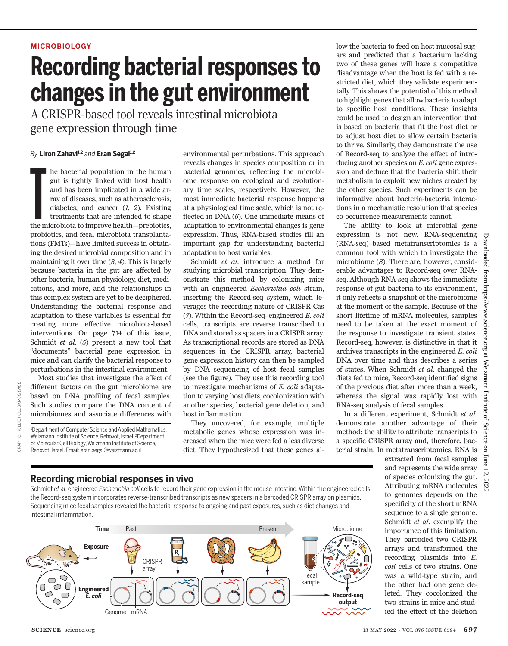#### **MICROBIOLOGY**

# **Recording bacterial responses to changes in the gut environment**

A CRISPR-based tool reveals intestinal microbiota gene expression through time

#### *By* **Liron Zahavi1,2** *and* **Eran Segal1,2**

he bacterial population in the human<br>gut is tightly linked with host health<br>and has been implicated in a wide ar-<br>ray of diseases, such as atherosclerosis,<br>diabetes, and cancer (1, 2). Existing<br>treatments that are intended he bacterial population in the human gut is tightly linked with host health and has been implicated in a wide array of diseases, such as atherosclerosis, diabetes, and cancer (*1*, *2*). Existing treatments that are intended to shape probiotics, and fecal microbiota transplantations (FMTs)—have limited success in obtaining the desired microbial composition and in maintaining it over time (*3*, *4*). This is largely because bacteria in the gut are affected by other bacteria, human physiology, diet, medications, and more, and the relationships in this complex system are yet to be deciphered. Understanding the bacterial response and adaptation to these variables is essential for creating more effective microbiota-based interventions. On page 714 of this issue, Schmidt *et al*. (*5*) present a new tool that "documents" bacterial gene expression in mice and can clarify the bacterial response to perturbations in the intestinal environment.

Most studies that investigate the effect of different factors on the gut microbiome are based on DNA profiling of fecal samples. Such studies compare the DNA content of microbiomes and associate differences with

<sup>1</sup>Department of Computer Science and Applied Mathematics, Weizmann Institute of Science, Rehovot, Israel. <sup>2</sup>Department of Molecular Cell Biology, Weizmann Institute of Science, Rehovot, Israel. Email: eran.segal@weizmann.ac.il

GRAPHIC: KELLIE HOLOSKI/*SCIENCE*

GRAPHIC:

KELLIE HOLOSKI/SC/ENCE

environmental perturbations. This approach reveals changes in species composition or in bacterial genomics, reflecting the microbiome response on ecological and evolutionary time scales, respectively. However, the most immediate bacterial response happens at a physiological time scale, which is not reflected in DNA (*6*). One immediate means of adaptation to environmental changes is gene expression. Thus, RNA-based studies fill an important gap for understanding bacterial adaptation to host variables.

Schmidt *et al*. introduce a method for studying microbial transcription. They demonstrate this method by colonizing mice with an engineered *Escherichia coli* strain, inserting the Record-seq system, which leverages the recording nature of CRISPR-Cas (*7*). Within the Record-seq–engineered *E. coli*  cells, transcripts are reverse transcribed to DNA and stored as spacers in a CRISPR array. As transcriptional records are stored as DNA sequences in the CRISPR array, bacterial gene expression history can then be sampled by DNA sequencing of host fecal samples (see the figure). They use this recording tool to investigate mechanisms of *E. coli* adaptation to varying host diets, cocolonization with another species, bacterial gene deletion, and host inflammation.

They uncovered, for example, multiple metabolic genes whose expression was increased when the mice were fed a less diverse diet. They hypothesized that these genes al-

low the bacteria to feed on host mucosal sugars and predicted that a bacterium lacking two of these genes will have a competitive disadvantage when the host is fed with a restricted diet, which they validate experimentally. This shows the potential of this method to highlight genes that allow bacteria to adapt to specific host conditions. These insights could be used to design an intervention that is based on bacteria that fit the host diet or to adjust host diet to allow certain bacteria to thrive. Similarly, they demonstrate the use of Record-seq to analyze the effect of introducing another species on *E. coli* gene expression and deduce that the bacteria shift their metabolism to exploit new niches created by the other species. Such experiments can be informative about bacteria-bacteria interactions in a mechanistic resolution that species co-occurrence measurements cannot.

The ability to look at microbial gene expression is not new. RNA-sequencing (RNA-seq)–based metatranscriptomics is a common tool with which to investigate the microbiome (*8*). There are, however, considerable advantages to Record-seq over RNAseq. Although RNA-seq shows the immediate response of gut bacteria to its environment, it only reflects a snapshot of the microbiome at the moment of the sample. Because of the short lifetime of mRNA molecules, samples need to be taken at the exact moment of the response to investigate transient states. Record-seq, however, is distinctive in that it archives transcripts in the engineered *E. coli* DNA over time and thus describes a series of states. When Schmidt *et al*. changed the diets fed to mice, Record-seq identified signs of the previous diet after more than a week, whereas the signal was rapidly lost with RNA-seq analysis of fecal samples.

In a different experiment, Schmidt *et al*. demonstrate another advantage of their method: the ability to attribute transcripts to a specific CRISPR array and, therefore, bacterial strain. In metatranscriptomics, RNA is

### **Recording microbial responses in vivo**

Schmidt *et al*. engineered *Escherichia coli* cells to record their gene expression in the mouse intestine. Within the engineered cells, the Record-seq system incorporates reverse-transcribed transcripts as new spacers in a barcoded CRISPR array on plasmids. Sequencing mice fecal samples revealed the bacterial response to ongoing and past exposures, such as diet changes and intestinal inflammation.



extracted from fecal samples and represents the wide array of species colonizing the gut. Attributing mRNA molecules to genomes depends on the specificity of the short mRNA sequence to a single genome. Schmidt *et al*. exemplify the importance of this limitation. They barcoded two CRISPR arrays and transformed the recording plasmids into *E. coli* cells of two strains. One was a wild-type strain, and the other had one gene deleted. They cocolonized the two strains in mice and studied the effect of the deletion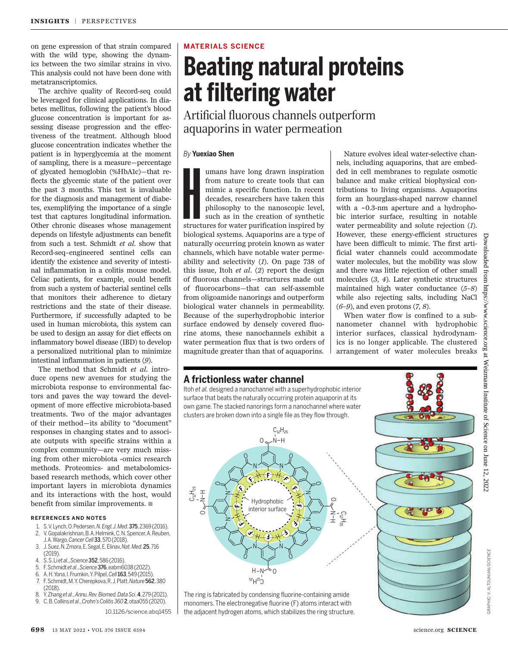on gene expression of that strain compared with the wild type, showing the dynamics between the two similar strains in vivo. This analysis could not have been done with metatranscriptomics.

The archive quality of Record-seq could be leveraged for clinical applications. In diabetes mellitus, following the patient's blood glucose concentration is important for assessing disease progression and the effectiveness of the treatment. Although blood glucose concentration indicates whether the patient is in hyperglycemia at the moment of sampling, there is a measure—percentage of glycated hemoglobin (%HbA1c)—that reflects the glycemic state of the patient over the past 3 months. This test is invaluable for the diagnosis and management of diabetes, exemplifying the importance of a single test that captures longitudinal information. Other chronic diseases whose management depends on lifestyle adjustments can benefit from such a test. Schmidt *et al*. show that Record-seq–engineered sentinel cells can identify the existence and severity of intestinal inflammation in a colitis mouse model. Celiac patients, for example, could benefit from such a system of bacterial sentinel cells that monitors their adherence to dietary restrictions and the state of their disease. Furthermore, if successfully adapted to be used in human microbiota, this system can be used to design an assay for diet effects on inflammatory bowel disease (IBD) to develop a personalized nutritional plan to minimize intestinal inflammation in patients (*9*).

The method that Schmidt *et al*. introduce opens new avenues for studying the microbiota response to environmental factors and paves the way toward the development of more effective microbiota-based treatments. Two of the major advantages of their method—its ability to "document" responses in changing states and to associate outputs with specific strains within a complex community—are very much missing from other microbiota -omics research methods. Proteomics- and metabolomicsbased research methods, which cover other important layers in microbiota dynamics and its interactions with the host, would benefit from similar improvements.  $\blacksquare$ 

#### **REFERENCES AND NOTES**

- 1. S. V. Lynch, O. Pedersen, *N. Engl. J. Med*. 375, 2369 (2016). 2. V. Gopalakrishnan, B. A. Helmink, C. N. Spencer, A. Reuben,
- J. A. Wargo, *Cancer Cell*33, 570 (2018).
- 3. J. Suez, N. Zmora, E. Segal, E. Elinav, *Nat. Med*. 25, 716 (2019).
- 4. S. S. Li *et al*., *Science*352, 586 (2016).
- 5. F. Schmidt *et al*., *Science*376, eabm6038 (2022).
- 6. A. H. Yona, I. Frumkin, Y. Pilpel, *Cell*163, 549 (2015).
- 7. F. Schmidt, M. Y. Cherepkova, R. J. Platt, *Nature*562, 380 (2018).
- 8. Y. Zhang *et al*., *Annu. Rev. Biomed. Data Sci*. 4, 279 (2021).
- 9. C. B. Collins *et al*., *Crohn's Colitis 360* 2, otaa055 (2020). 10.1126/science.abq1455

#### **MATERIALS SCIENCE**

# **Beating natural proteins at filtering water**

Artificial fluorous channels outperform aquaporins in water permeation

#### *By* **Yuexiao Shen**

Imans have long drawn inspiration from nature to create tools that can mimic a specific function. In recent decades, researchers have taken this philosophy to the nanoscopic level, such as in the creation of synthetic stru umans have long drawn inspiration from nature to create tools that can mimic a specific function. In recent decades, researchers have taken this philosophy to the nanoscopic level, such as in the creation of synthetic biological systems. Aquaporins are a type of naturally occurring protein known as water channels, which have notable water permeability and selectivity (*1*). On page 738 of this issue, Itoh *et al.* (*2*) report the design of fluorous channels—structures made out of fluorocarbons—that can self-assemble from oligoamide nanorings and outperform biological water channels in permeability. Because of the superhydrophobic interior surface endowed by densely covered fluorine atoms, these nanochannels exhibit a water permeation flux that is two orders of magnitude greater than that of aquaporins.

Nature evolves ideal water-selective channels, including aquaporins, that are embedded in cell membranes to regulate osmotic balance and make critical biophysical contributions to living organisms. Aquaporins form an hourglass-shaped narrow channel with a ~0.3-nm aperture and a hydrophobic interior surface, resulting in notable water permeability and solute rejection (*1*). However, these energy-efficient structures have been difficult to mimic. The first artificial water channels could accommodate water molecules, but the mobility was slow and there was little rejection of other small molecules (*3*, *4*). Later synthetic structures maintained high water conductance (*5*–*8*) while also rejecting salts, including NaCl (*6*–*9*), and even protons (*7*, *8*).

When water flow is confined to a subnanometer channel with hydrophobic interior surfaces, classical hydrodynamics is no longer applicable. The clustered arrangement of water molecules breaks

#### **A frictionless water channel**

Itoh *et al.* designed a nanochannel with a superhydrophobic interior surface that beats the naturally occurring protein aquaporin at its own game. The stacked nanorings form a nanochannel where water clusters are broken down into a single file as they flow through.



The ring is fabricated by condensing fluorine-containing amide monomers. The electronegative fluorine (F) atoms interact with the adjacent hydrogen atoms, which stabilizes the ring structure.



Downloaded from https://www.science.org at Weizmann Institute of Science on June 12, 2022

science org at Weizmann Institute of Science on June 12,

 $.2022$ 

Downloaded from https://www